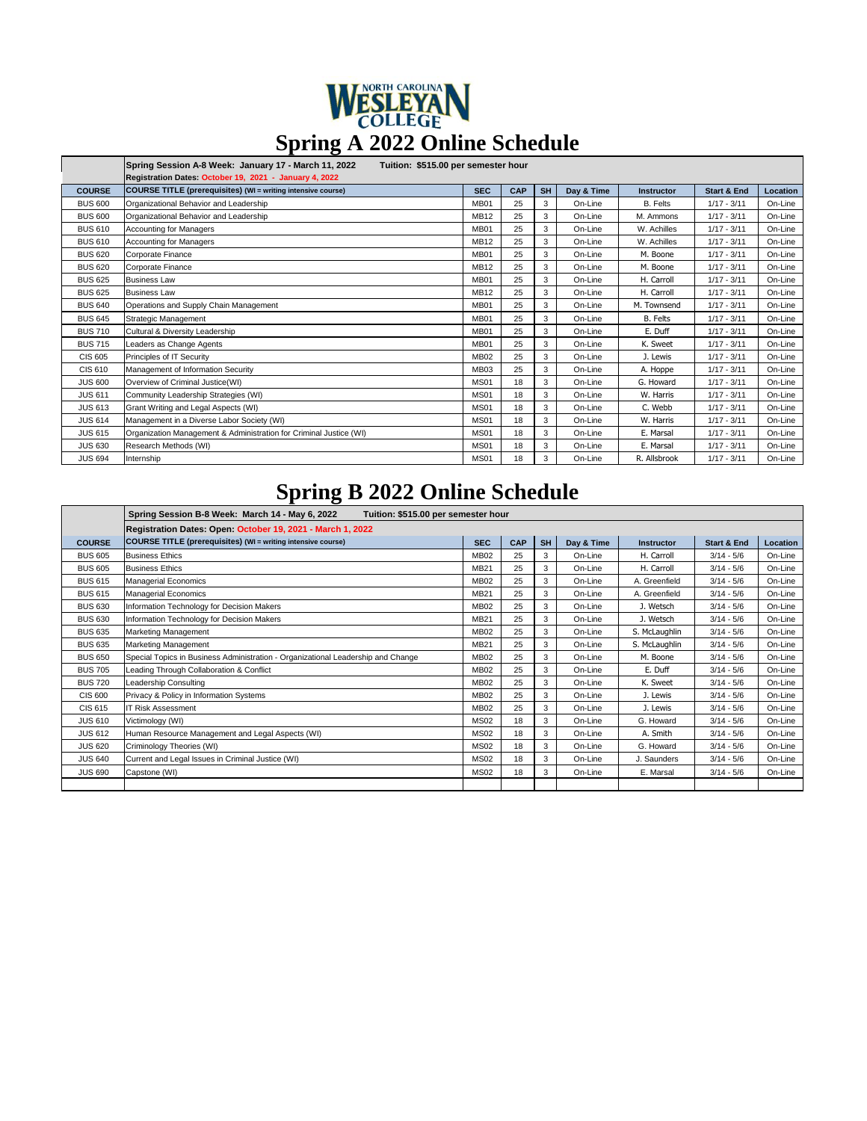| WESLEYAN                      |
|-------------------------------|
| Spring A 2022 Online Schedule |

|                | Spring Session A-8 Week: January 17 - March 11, 2022<br>Tuition: \$515.00 per semester hour<br>Registration Dates: October 19, 2021 - January 4, 2022 |                  |     |           |            |                   |                        |          |  |
|----------------|-------------------------------------------------------------------------------------------------------------------------------------------------------|------------------|-----|-----------|------------|-------------------|------------------------|----------|--|
| <b>COURSE</b>  | COURSE TITLE (prerequisites) (WI = writing intensive course)                                                                                          | <b>SEC</b>       | CAP | <b>SH</b> | Day & Time | <b>Instructor</b> | <b>Start &amp; End</b> | Location |  |
| <b>BUS 600</b> | Organizational Behavior and Leadership                                                                                                                | <b>MB01</b>      | 25  | 3         | On-Line    | <b>B.</b> Felts   | $1/17 - 3/11$          | On-Line  |  |
| <b>BUS 600</b> | Organizational Behavior and Leadership                                                                                                                | <b>MB12</b>      | 25  | 3         | On-Line    | M. Ammons         | $1/17 - 3/11$          | On-Line  |  |
| <b>BUS 610</b> | <b>Accounting for Managers</b>                                                                                                                        | <b>MB01</b>      | 25  | 3         | On-Line    | W. Achilles       | $1/17 - 3/11$          | On-Line  |  |
| <b>BUS 610</b> | <b>Accounting for Managers</b>                                                                                                                        | <b>MB12</b>      | 25  | 3         | On-Line    | W. Achilles       | $1/17 - 3/11$          | On-Line  |  |
| <b>BUS 620</b> | Corporate Finance                                                                                                                                     | <b>MB01</b>      | 25  | 3         | On-Line    | M. Boone          | $1/17 - 3/11$          | On-Line  |  |
| <b>BUS 620</b> | Corporate Finance                                                                                                                                     | <b>MB12</b>      | 25  | 3         | On-Line    | M. Boone          | $1/17 - 3/11$          | On-Line  |  |
| <b>BUS 625</b> | <b>Business Law</b>                                                                                                                                   | <b>MB01</b>      | 25  | 3         | On-Line    | H. Carroll        | $1/17 - 3/11$          | On-Line  |  |
| <b>BUS 625</b> | <b>Business Law</b>                                                                                                                                   | <b>MB12</b>      | 25  | 3         | On-Line    | H. Carroll        | $1/17 - 3/11$          | On-Line  |  |
| <b>BUS 640</b> | Operations and Supply Chain Management                                                                                                                | <b>MB01</b>      | 25  | 3         | On-Line    | M. Townsend       | $1/17 - 3/11$          | On-Line  |  |
| <b>BUS 645</b> | <b>Strategic Management</b>                                                                                                                           | <b>MB01</b>      | 25  | 3         | On-Line    | <b>B.</b> Felts   | $1/17 - 3/11$          | On-Line  |  |
| <b>BUS710</b>  | Cultural & Diversity Leadership                                                                                                                       | MB <sub>01</sub> | 25  | 3         | On-Line    | E. Duff           | $1/17 - 3/11$          | On-Line  |  |
| <b>BUS 715</b> | Leaders as Change Agents                                                                                                                              | MB01             | 25  | 3         | On-Line    | K. Sweet          | $1/17 - 3/11$          | On-Line  |  |
| <b>CIS 605</b> | Principles of IT Security                                                                                                                             | <b>MB02</b>      | 25  | 3         | On-Line    | J. Lewis          | $1/17 - 3/11$          | On-Line  |  |
| CIS 610        | Management of Information Security                                                                                                                    | <b>MB03</b>      | 25  | 3         | On-Line    | A. Hoppe          | $1/17 - 3/11$          | On-Line  |  |
| <b>JUS 600</b> | Overview of Criminal Justice(WI)                                                                                                                      | <b>MS01</b>      | 18  | 3         | On-Line    | G. Howard         | $1/17 - 3/11$          | On-Line  |  |
| <b>JUS 611</b> | Community Leadership Strategies (WI)                                                                                                                  | <b>MS01</b>      | 18  | 3         | On-Line    | W. Harris         | $1/17 - 3/11$          | On-Line  |  |
| <b>JUS 613</b> | Grant Writing and Legal Aspects (WI)                                                                                                                  | <b>MS01</b>      | 18  | 3         | On-Line    | C. Webb           | $1/17 - 3/11$          | On-Line  |  |
| <b>JUS 614</b> | Management in a Diverse Labor Society (WI)                                                                                                            | <b>MS01</b>      | 18  | 3         | On-Line    | W. Harris         | $1/17 - 3/11$          | On-Line  |  |
| <b>JUS 615</b> | Organization Management & Administration for Criminal Justice (WI)                                                                                    | <b>MS01</b>      | 18  | 3         | On-Line    | E. Marsal         | $1/17 - 3/11$          | On-Line  |  |
| <b>JUS 630</b> | Research Methods (WI)                                                                                                                                 | <b>MS01</b>      | 18  | 3         | On-Line    | E. Marsal         | $1/17 - 3/11$          | On-Line  |  |
| <b>JUS 694</b> | Internship                                                                                                                                            | <b>MS01</b>      | 18  | 3         | On-Line    | R. Allsbrook      | $1/17 - 3/11$          | On-Line  |  |

## **Spring B 2022 Online Schedule**

|                | Spring Session B-8 Week: March 14 - May 6, 2022<br>Tuition: \$515.00 per semester hour |             |     |           |            |               |                        |          |  |
|----------------|----------------------------------------------------------------------------------------|-------------|-----|-----------|------------|---------------|------------------------|----------|--|
|                | Registration Dates: Open: October 19, 2021 - March 1, 2022                             |             |     |           |            |               |                        |          |  |
| <b>COURSE</b>  | COURSE TITLE (prerequisites) (WI = writing intensive course)                           | <b>SEC</b>  | CAP | <b>SH</b> | Day & Time | Instructor    | <b>Start &amp; End</b> | Location |  |
| <b>BUS 605</b> | <b>Business Ethics</b>                                                                 | <b>MB02</b> | 25  | 3         | On-Line    | H. Carroll    | $3/14 - 5/6$           | On-Line  |  |
| <b>BUS 605</b> | <b>Business Ethics</b>                                                                 | <b>MB21</b> | 25  | 3         | On-Line    | H. Carroll    | $3/14 - 5/6$           | On-Line  |  |
| <b>BUS 615</b> | <b>Managerial Economics</b>                                                            | <b>MB02</b> | 25  | 3         | On-Line    | A. Greenfield | $3/14 - 5/6$           | On-Line  |  |
| <b>BUS 615</b> | <b>Managerial Economics</b>                                                            | <b>MB21</b> | 25  | 3         | On-Line    | A. Greenfield | $3/14 - 5/6$           | On-Line  |  |
| <b>BUS 630</b> | Information Technology for Decision Makers                                             | <b>MB02</b> | 25  | 3         | On-Line    | J. Wetsch     | $3/14 - 5/6$           | On-Line  |  |
| <b>BUS 630</b> | Information Technology for Decision Makers                                             | <b>MB21</b> | 25  | 3         | On-Line    | J. Wetsch     | $3/14 - 5/6$           | On-Line  |  |
| <b>BUS 635</b> | <b>Marketing Management</b>                                                            | <b>MB02</b> | 25  | 3         | On-Line    | S. McLaughlin | $3/14 - 5/6$           | On-Line  |  |
| <b>BUS 635</b> | <b>Marketing Management</b>                                                            | <b>MB21</b> | 25  | 3         | On-Line    | S. McLaughlin | $3/14 - 5/6$           | On-Line  |  |
| <b>BUS 650</b> | Special Topics in Business Administration - Organizational Leadership and Change       | <b>MB02</b> | 25  | 3         | On-Line    | M. Boone      | $3/14 - 5/6$           | On-Line  |  |
| <b>BUS 705</b> | Leading Through Collaboration & Conflict                                               | <b>MB02</b> | 25  | 3         | On-Line    | E. Duff       | $3/14 - 5/6$           | On-Line  |  |
| <b>BUS 720</b> | Leadership Consulting                                                                  | <b>MB02</b> | 25  | 3         | On-Line    | K. Sweet      | $3/14 - 5/6$           | On-Line  |  |
| <b>CIS 600</b> | Privacy & Policy in Information Systems                                                | <b>MB02</b> | 25  | 3         | On-Line    | J. Lewis      | $3/14 - 5/6$           | On-Line  |  |
| CIS 615        | <b>IT Risk Assessment</b>                                                              | <b>MB02</b> | 25  | 3         | On-Line    | J. Lewis      | $3/14 - 5/6$           | On-Line  |  |
| <b>JUS 610</b> | Victimology (WI)                                                                       | <b>MS02</b> | 18  | 3         | On-Line    | G. Howard     | $3/14 - 5/6$           | On-Line  |  |
| <b>JUS 612</b> | Human Resource Management and Legal Aspects (WI)                                       | <b>MS02</b> | 18  | 3         | On-Line    | A. Smith      | $3/14 - 5/6$           | On-Line  |  |
| <b>JUS 620</b> | Criminology Theories (WI)                                                              | <b>MS02</b> | 18  | 3         | On-Line    | G. Howard     | $3/14 - 5/6$           | On-Line  |  |
| <b>JUS 640</b> | Current and Legal Issues in Criminal Justice (WI)                                      | <b>MS02</b> | 18  | 3         | On-Line    | J. Saunders   | $3/14 - 5/6$           | On-Line  |  |
| <b>JUS 690</b> | Capstone (WI)                                                                          | <b>MS02</b> | 18  | 3         | On-Line    | E. Marsal     | $3/14 - 5/6$           | On-Line  |  |
|                |                                                                                        |             |     |           |            |               |                        |          |  |